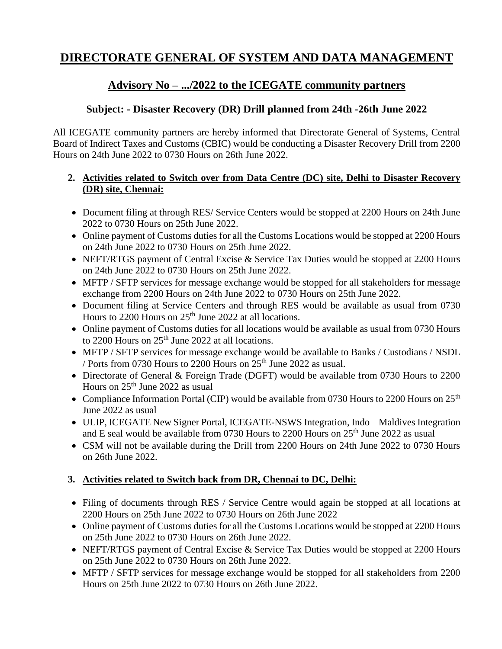# **DIRECTORATE GENERAL OF SYSTEM AND DATA MANAGEMENT**

## **Advisory No – .../2022 to the ICEGATE community partners**

### **Subject: - Disaster Recovery (DR) Drill planned from 24th -26th June 2022**

All ICEGATE community partners are hereby informed that Directorate General of Systems, Central Board of Indirect Taxes and Customs (CBIC) would be conducting a Disaster Recovery Drill from 2200 Hours on 24th June 2022 to 0730 Hours on 26th June 2022.

#### **2. Activities related to Switch over from Data Centre (DC) site, Delhi to Disaster Recovery (DR) site, Chennai:**

- Document filing at through RES/ Service Centers would be stopped at 2200 Hours on 24th June 2022 to 0730 Hours on 25th June 2022.
- Online payment of Customs duties for all the Customs Locations would be stopped at 2200 Hours on 24th June 2022 to 0730 Hours on 25th June 2022.
- NEFT/RTGS payment of Central Excise & Service Tax Duties would be stopped at 2200 Hours on 24th June 2022 to 0730 Hours on 25th June 2022.
- MFTP / SFTP services for message exchange would be stopped for all stakeholders for message exchange from 2200 Hours on 24th June 2022 to 0730 Hours on 25th June 2022.
- Document filing at Service Centers and through RES would be available as usual from 0730 Hours to 2200 Hours on  $25<sup>th</sup>$  June 2022 at all locations.
- Online payment of Customs duties for all locations would be available as usual from 0730 Hours to 2200 Hours on  $25<sup>th</sup>$  June 2022 at all locations.
- MFTP / SFTP services for message exchange would be available to Banks / Custodians / NSDL / Ports from 0730 Hours to 2200 Hours on  $25<sup>th</sup>$  June 2022 as usual.
- Directorate of General & Foreign Trade (DGFT) would be available from 0730 Hours to 2200 Hours on  $25<sup>th</sup>$  June 2022 as usual
- Compliance Information Portal (CIP) would be available from 0730 Hours to 2200 Hours on 25<sup>th</sup> June 2022 as usual
- ULIP, ICEGATE New Signer Portal, ICEGATE-NSWS Integration, Indo Maldives Integration and E seal would be available from 0730 Hours to 2200 Hours on  $25<sup>th</sup>$  June 2022 as usual
- CSM will not be available during the Drill from 2200 Hours on 24th June 2022 to 0730 Hours on 26th June 2022.

### **3. Activities related to Switch back from DR, Chennai to DC, Delhi:**

- Filing of documents through RES / Service Centre would again be stopped at all locations at 2200 Hours on 25th June 2022 to 0730 Hours on 26th June 2022
- Online payment of Customs duties for all the Customs Locations would be stopped at 2200 Hours on 25th June 2022 to 0730 Hours on 26th June 2022.
- NEFT/RTGS payment of Central Excise & Service Tax Duties would be stopped at 2200 Hours on 25th June 2022 to 0730 Hours on 26th June 2022.
- MFTP / SFTP services for message exchange would be stopped for all stakeholders from 2200 Hours on 25th June 2022 to 0730 Hours on 26th June 2022.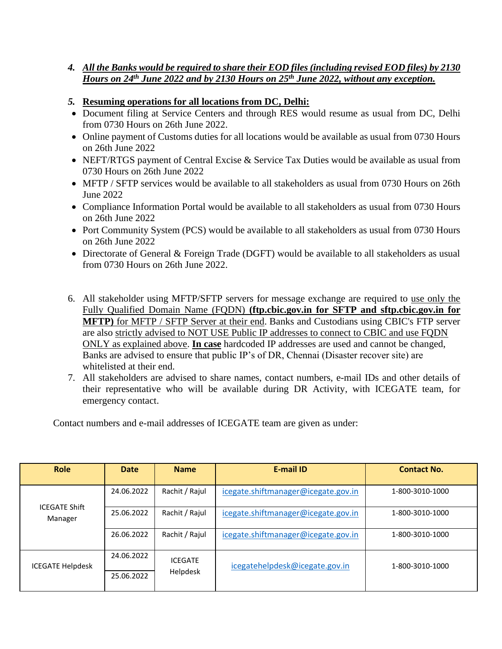- *4. All the Banks would be required to share their EOD files (including revised EOD files) by 2130 Hours on 24th June 2022 and by 2130 Hours on 25th June 2022, without any exception.*
- *5.* **Resuming operations for all locations from DC, Delhi:**
- Document filing at Service Centers and through RES would resume as usual from DC, Delhi from 0730 Hours on 26th June 2022.
- Online payment of Customs duties for all locations would be available as usual from 0730 Hours on 26th June 2022
- NEFT/RTGS payment of Central Excise & Service Tax Duties would be available as usual from 0730 Hours on 26th June 2022
- MFTP / SFTP services would be available to all stakeholders as usual from 0730 Hours on 26th June 2022
- Compliance Information Portal would be available to all stakeholders as usual from 0730 Hours on 26th June 2022
- Port Community System (PCS) would be available to all stakeholders as usual from 0730 Hours on 26th June 2022
- Directorate of General & Foreign Trade (DGFT) would be available to all stakeholders as usual from 0730 Hours on 26th June 2022.
- 6. All stakeholder using MFTP/SFTP servers for message exchange are required to use only the Fully Qualified Domain Name (FQDN) **[\(ftp.cbic.gov.in](ftp://ftp.cbic.gov.in/) for SFTP and [sftp.cbic.gov.in](ftp://ftp.cbic.gov.in/) for MFTP)** for MFTP / SFTP Server at their end. Banks and Custodians using CBIC's FTP server are also strictly advised to NOT USE Public IP addresses to connect to CBIC and use FQDN ONLY as explained above. **In case** hardcoded IP addresses are used and cannot be changed, Banks are advised to ensure that public IP's of DR, Chennai (Disaster recover site) are whitelisted at their end.
- 7. All stakeholders are advised to share names, contact numbers, e-mail IDs and other details of their representative who will be available during DR Activity, with ICEGATE team, for emergency contact.

Contact numbers and e-mail addresses of ICEGATE team are given as under:

| <b>Role</b>                     | <b>Date</b> | <b>Name</b>                | <b>E-mail ID</b>                    | <b>Contact No.</b> |
|---------------------------------|-------------|----------------------------|-------------------------------------|--------------------|
| <b>ICEGATE Shift</b><br>Manager | 24.06.2022  | Rachit / Rajul             | icegate.shiftmanager@icegate.gov.in | 1-800-3010-1000    |
|                                 | 25.06.2022  | Rachit / Rajul             | icegate.shiftmanager@icegate.gov.in | 1-800-3010-1000    |
|                                 | 26.06.2022  | Rachit / Rajul             | icegate.shiftmanager@icegate.gov.in | 1-800-3010-1000    |
| ICEGATE Helpdesk                | 24.06.2022  | <b>ICEGATE</b><br>Helpdesk | icegatehelpdesk@icegate.gov.in      | 1-800-3010-1000    |
|                                 | 25.06.2022  |                            |                                     |                    |